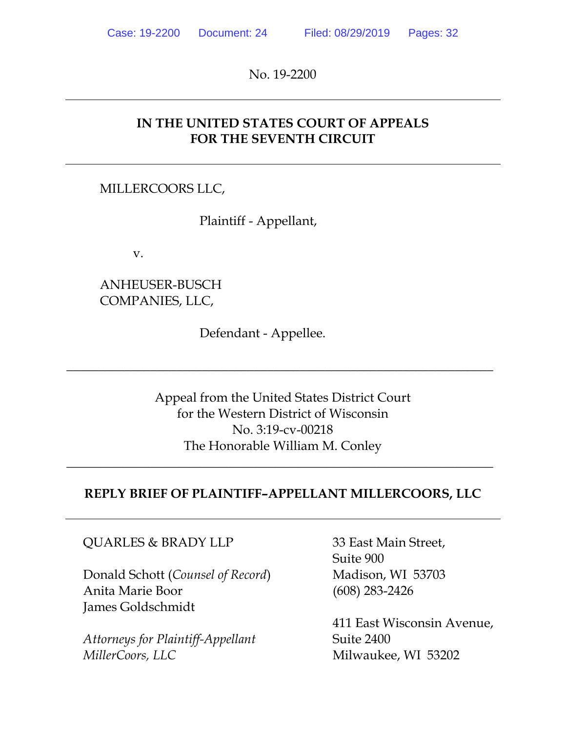No. 19-2200

## **IN THE UNITED STATES COURT OF APPEALS FOR THE SEVENTH CIRCUIT**

### MILLERCOORS LLC,

Plaintiff - Appellant,

v.

## ANHEUSER-BUSCH COMPANIES, LLC,

Defendant - Appellee.

Appeal from the United States District Court for the Western District of Wisconsin No. 3:19-cv-00218 The Honorable William M. Conley

 $\overline{\phantom{a}}$  , and the contract of the contract of the contract of the contract of the contract of the contract of the contract of the contract of the contract of the contract of the contract of the contract of the contrac

### **REPLY BRIEF OF PLAINTIFF–APPELLANT MILLERCOORS, LLC**

 $\overline{\phantom{a}}$  , and the contract of the contract of the contract of the contract of the contract of the contract of the contract of the contract of the contract of the contract of the contract of the contract of the contrac

#### QUARLES & BRADY LLP 33 East Main Street,

Donald Schott (*Counsel of Record*) Madison, WI 53703 Anita Marie Boor (608) 283-2426 James Goldschmidt

Attorneys for Plaintiff-Appellant **Suite 2400** *MillerCoors, LLC* Milwaukee, WI 53202

Suite 900

411 East Wisconsin Avenue,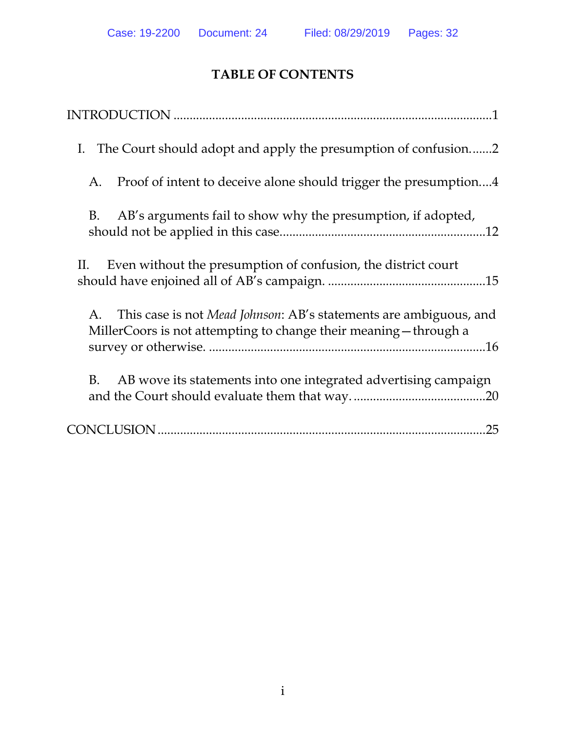# **TABLE OF CONTENTS**

| The Court should adopt and apply the presumption of confusion2<br>I.                                                                         |
|----------------------------------------------------------------------------------------------------------------------------------------------|
| Proof of intent to deceive alone should trigger the presumption4<br>A.                                                                       |
| AB's arguments fail to show why the presumption, if adopted,<br>B.                                                                           |
| Even without the presumption of confusion, the district court<br>П.                                                                          |
| This case is not Mead Johnson: AB's statements are ambiguous, and<br>A.<br>MillerCoors is not attempting to change their meaning - through a |
| AB wove its statements into one integrated advertising campaign<br>B.                                                                        |
|                                                                                                                                              |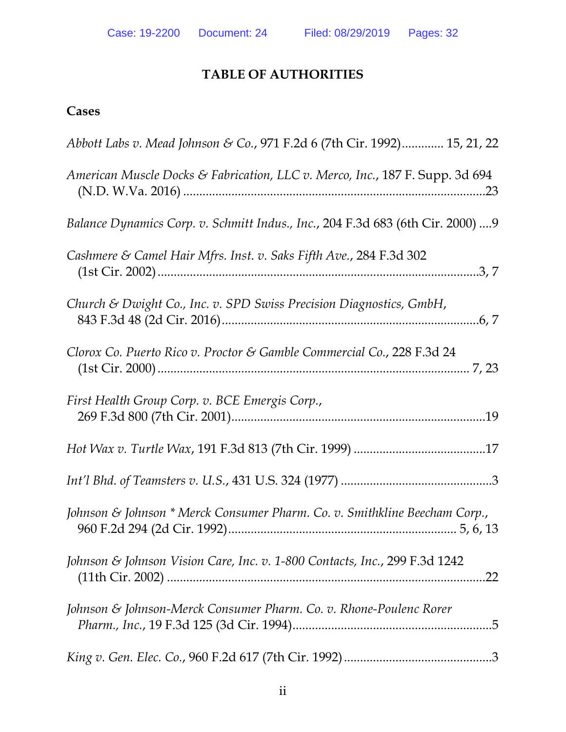# **TABLE OF AUTHORITIES**

# **Cases**

| Abbott Labs v. Mead Johnson & Co., 971 F.2d 6 (7th Cir. 1992) 15, 21, 22          |
|-----------------------------------------------------------------------------------|
| American Muscle Docks & Fabrication, LLC v. Merco, Inc., 187 F. Supp. 3d 694      |
| Balance Dynamics Corp. v. Schmitt Indus., Inc., 204 F.3d 683 (6th Cir. 2000)  9   |
| Cashmere & Camel Hair Mfrs. Inst. v. Saks Fifth Ave., 284 F.3d 302                |
| Church & Dwight Co., Inc. v. SPD Swiss Precision Diagnostics, GmbH,               |
| Clorox Co. Puerto Rico v. Proctor & Gamble Commercial Co., 228 F.3d 24            |
| First Health Group Corp. v. BCE Emergis Corp.,                                    |
|                                                                                   |
|                                                                                   |
| Johnson & Johnson * Merck Consumer Pharm. Co. v. Smithkline Beecham Corp.,        |
| Johnson & Johnson Vision Care, Inc. v. 1-800 Contacts, Inc., 299 F.3d 1242<br>.22 |
| Johnson & Johnson-Merck Consumer Pharm. Co. v. Rhone-Poulenc Rorer                |
|                                                                                   |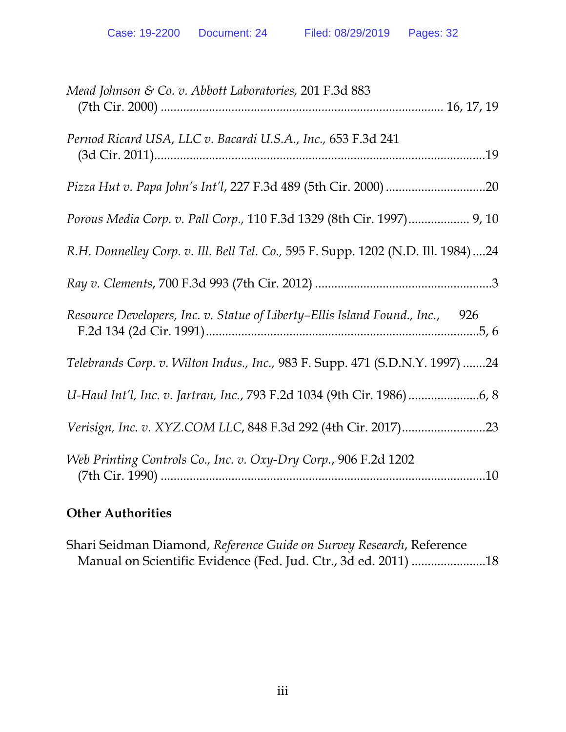| Mead Johnson & Co. v. Abbott Laboratories, 201 F.3d 883                           |
|-----------------------------------------------------------------------------------|
| Pernod Ricard USA, LLC v. Bacardi U.S.A., Inc., 653 F.3d 241                      |
|                                                                                   |
| Porous Media Corp. v. Pall Corp., 110 F.3d 1329 (8th Cir. 1997) 9, 10             |
| R.H. Donnelley Corp. v. Ill. Bell Tel. Co., 595 F. Supp. 1202 (N.D. Ill. 1984) 24 |
|                                                                                   |
| Resource Developers, Inc. v. Statue of Liberty–Ellis Island Found., Inc., 926     |
| Telebrands Corp. v. Wilton Indus., Inc., 983 F. Supp. 471 (S.D.N.Y. 1997) 24      |
|                                                                                   |
|                                                                                   |
| Web Printing Controls Co., Inc. v. Oxy-Dry Corp., 906 F.2d 1202                   |

# **Other Authorities**

Shari Seidman Diamond, *Reference Guide on Survey Research*, Reference Manual on Scientific Evidence (Fed. Jud. Ctr., 3d ed. 2011) ....................... 18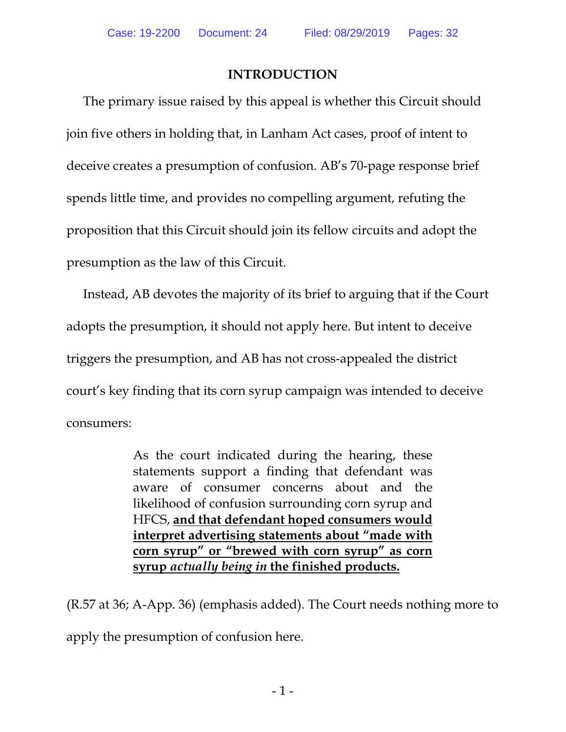## **INTRODUCTION**

The primary issue raised by this appeal is whether this Circuit should join five others in holding that, in Lanham Act cases, proof of intent to deceive creates a presumption of confusion. AB's 70-page response brief spends little time, and provides no compelling argument, refuting the proposition that this Circuit should join its fellow circuits and adopt the presumption as the law of this Circuit.

Instead, AB devotes the majority of its brief to arguing that if the Court adopts the presumption, it should not apply here. But intent to deceive triggers the presumption, and AB has not cross-appealed the district court's key finding that its corn syrup campaign was intended to deceive consumers:

> As the court indicated during the hearing, these statements support a finding that defendant was aware of consumer concerns about and the likelihood of confusion surrounding corn syrup and HFCS, **and that defendant hoped consumers would interpret advertising statements about "made with corn syrup" or "brewed with corn syrup" as corn syrup** *actually being in* **the finished products.**

(R.57 at 36; A-App. 36) (emphasis added). The Court needs nothing more to apply the presumption of confusion here.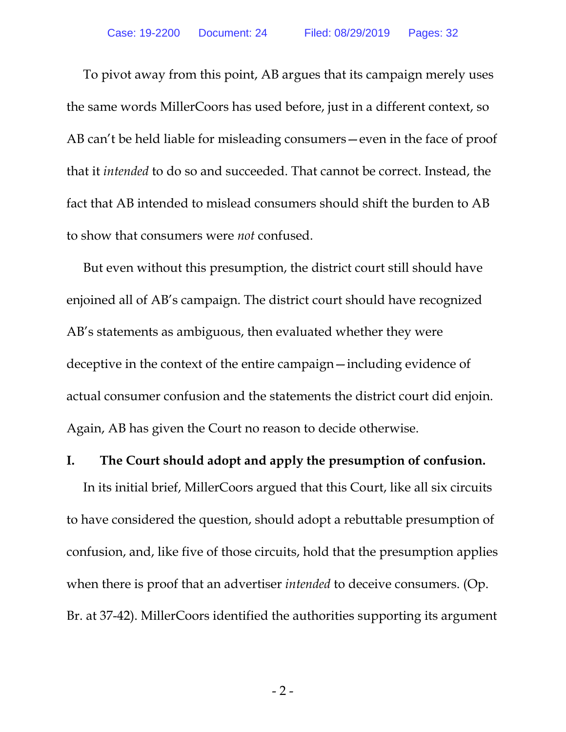To pivot away from this point, AB argues that its campaign merely uses the same words MillerCoors has used before, just in a different context, so AB can't be held liable for misleading consumers—even in the face of proof that it *intended* to do so and succeeded. That cannot be correct. Instead, the fact that AB intended to mislead consumers should shift the burden to AB to show that consumers were *not* confused.

But even without this presumption, the district court still should have enjoined all of AB's campaign. The district court should have recognized AB's statements as ambiguous, then evaluated whether they were deceptive in the context of the entire campaign—including evidence of actual consumer confusion and the statements the district court did enjoin. Again, AB has given the Court no reason to decide otherwise.

#### **I. The Court should adopt and apply the presumption of confusion.**

In its initial brief, MillerCoors argued that this Court, like all six circuits to have considered the question, should adopt a rebuttable presumption of confusion, and, like five of those circuits, hold that the presumption applies when there is proof that an advertiser *intended* to deceive consumers. (Op. Br. at 37-42). MillerCoors identified the authorities supporting its argument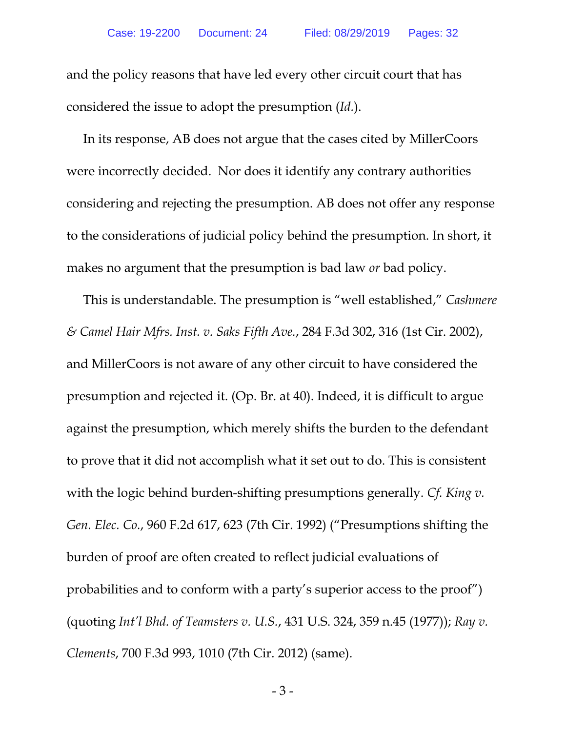and the policy reasons that have led every other circuit court that has considered the issue to adopt the presumption (*Id.*).

In its response, AB does not argue that the cases cited by MillerCoors were incorrectly decided. Nor does it identify any contrary authorities considering and rejecting the presumption. AB does not offer any response to the considerations of judicial policy behind the presumption. In short, it makes no argument that the presumption is bad law *or* bad policy.

This is understandable. The presumption is "well established," *Cashmere & Camel Hair Mfrs. Inst. v. Saks Fifth Ave.*, 284 F.3d 302, 316 (1st Cir. 2002), and MillerCoors is not aware of any other circuit to have considered the presumption and rejected it. (Op. Br. at 40). Indeed, it is difficult to argue against the presumption, which merely shifts the burden to the defendant to prove that it did not accomplish what it set out to do. This is consistent with the logic behind burden-shifting presumptions generally. *Cf. King v. Gen. Elec. Co.*, 960 F.2d 617, 623 (7th Cir. 1992) ("Presumptions shifting the burden of proof are often created to reflect judicial evaluations of probabilities and to conform with a party's superior access to the proof") (quoting *Int'l Bhd. of Teamsters v. U.S.*, 431 U.S. 324, 359 n.45 (1977)); *Ray v. Clements*, 700 F.3d 993, 1010 (7th Cir. 2012) (same).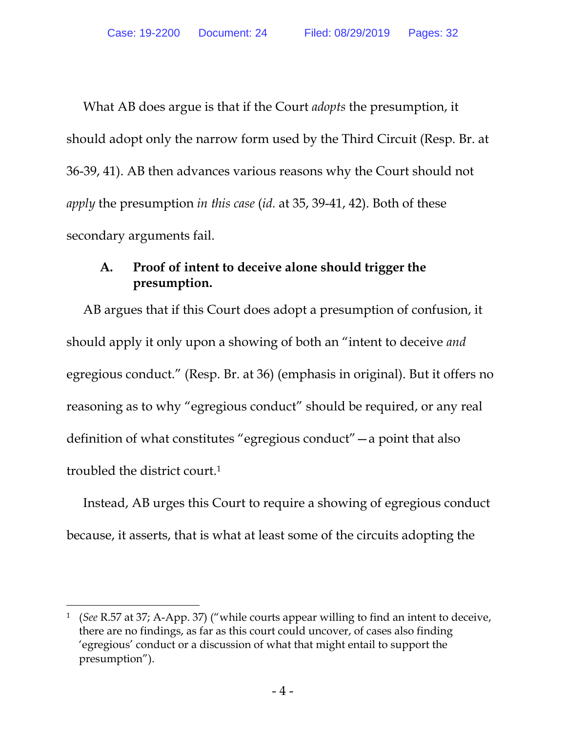What AB does argue is that if the Court *adopts* the presumption, it should adopt only the narrow form used by the Third Circuit (Resp. Br. at 36-39, 41). AB then advances various reasons why the Court should not *apply* the presumption *in this case* (*id.* at 35, 39-41, 42). Both of these secondary arguments fail.

## **A. Proof of intent to deceive alone should trigger the presumption.**

AB argues that if this Court does adopt a presumption of confusion, it should apply it only upon a showing of both an "intent to deceive *and* egregious conduct." (Resp. Br. at 36) (emphasis in original). But it offers no reasoning as to why "egregious conduct" should be required, or any real definition of what constitutes "egregious conduct"—a point that also troubled the district court.1

Instead, AB urges this Court to require a showing of egregious conduct because, it asserts, that is what at least some of the circuits adopting the

 $\overline{a}$ 

<sup>1 (</sup>*See* R.57 at 37; A-App. 37) ("while courts appear willing to find an intent to deceive, there are no findings, as far as this court could uncover, of cases also finding 'egregious' conduct or a discussion of what that might entail to support the presumption").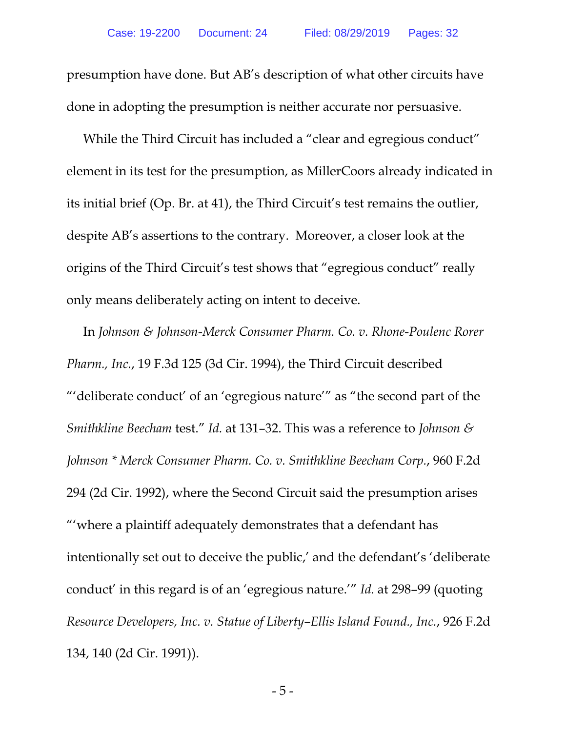presumption have done. But AB's description of what other circuits have done in adopting the presumption is neither accurate nor persuasive.

While the Third Circuit has included a "clear and egregious conduct" element in its test for the presumption, as MillerCoors already indicated in its initial brief (Op. Br. at 41), the Third Circuit's test remains the outlier, despite AB's assertions to the contrary. Moreover, a closer look at the origins of the Third Circuit's test shows that "egregious conduct" really only means deliberately acting on intent to deceive.

In *Johnson & Johnson-Merck Consumer Pharm. Co. v. Rhone-Poulenc Rorer Pharm., Inc.*, 19 F.3d 125 (3d Cir. 1994), the Third Circuit described "'deliberate conduct' of an 'egregious nature'" as "the second part of the *Smithkline Beecham* test." *Id.* at 131–32. This was a reference to *Johnson & Johnson \* Merck Consumer Pharm. Co. v. Smithkline Beecham Corp.*, 960 F.2d 294 (2d Cir. 1992), where the Second Circuit said the presumption arises "'where a plaintiff adequately demonstrates that a defendant has intentionally set out to deceive the public,' and the defendant's 'deliberate conduct' in this regard is of an 'egregious nature.'" *Id.* at 298–99 (quoting *Resource Developers, Inc. v. Statue of Liberty–Ellis Island Found., Inc.*, 926 F.2d 134, 140 (2d Cir. 1991)).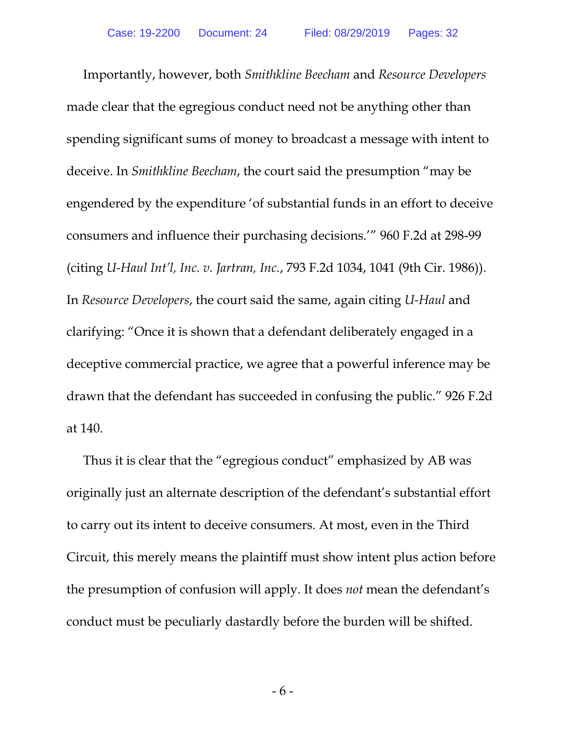Importantly, however, both *Smithkline Beecham* and *Resource Developers* made clear that the egregious conduct need not be anything other than spending significant sums of money to broadcast a message with intent to deceive. In *Smithkline Beecham*, the court said the presumption "may be engendered by the expenditure 'of substantial funds in an effort to deceive consumers and influence their purchasing decisions.'" 960 F.2d at 298-99 (citing *U-Haul Int'l, Inc. v. Jartran, Inc.*, 793 F.2d 1034, 1041 (9th Cir. 1986)). In *Resource Developers*, the court said the same, again citing *U-Haul* and clarifying: "Once it is shown that a defendant deliberately engaged in a deceptive commercial practice, we agree that a powerful inference may be drawn that the defendant has succeeded in confusing the public." 926 F.2d at 140.

Thus it is clear that the "egregious conduct" emphasized by AB was originally just an alternate description of the defendant's substantial effort to carry out its intent to deceive consumers. At most, even in the Third Circuit, this merely means the plaintiff must show intent plus action before the presumption of confusion will apply. It does *not* mean the defendant's conduct must be peculiarly dastardly before the burden will be shifted.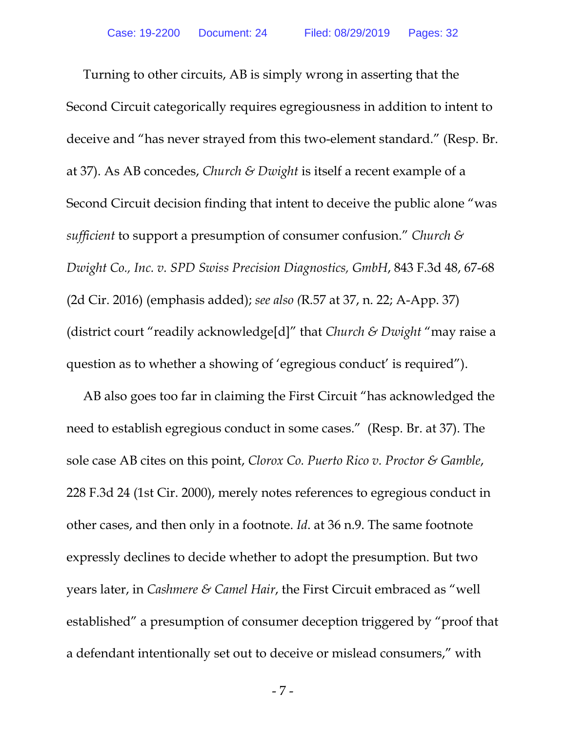Turning to other circuits, AB is simply wrong in asserting that the Second Circuit categorically requires egregiousness in addition to intent to deceive and "has never strayed from this two-element standard." (Resp. Br. at 37). As AB concedes, *Church & Dwight* is itself a recent example of a Second Circuit decision finding that intent to deceive the public alone "was *sufficient* to support a presumption of consumer confusion." *Church & Dwight Co., Inc. v. SPD Swiss Precision Diagnostics, GmbH*, 843 F.3d 48, 67-68 (2d Cir. 2016) (emphasis added); *see also (*R.57 at 37, n. 22; A-App. 37) (district court "readily acknowledge[d]" that *Church & Dwight* "may raise a question as to whether a showing of 'egregious conduct' is required").

AB also goes too far in claiming the First Circuit "has acknowledged the need to establish egregious conduct in some cases." (Resp. Br. at 37). The sole case AB cites on this point, *Clorox Co. Puerto Rico v. Proctor & Gamble*, 228 F.3d 24 (1st Cir. 2000), merely notes references to egregious conduct in other cases, and then only in a footnote. *Id*. at 36 n.9. The same footnote expressly declines to decide whether to adopt the presumption. But two years later, in *Cashmere & Camel Hair*, the First Circuit embraced as "well established" a presumption of consumer deception triggered by "proof that a defendant intentionally set out to deceive or mislead consumers," with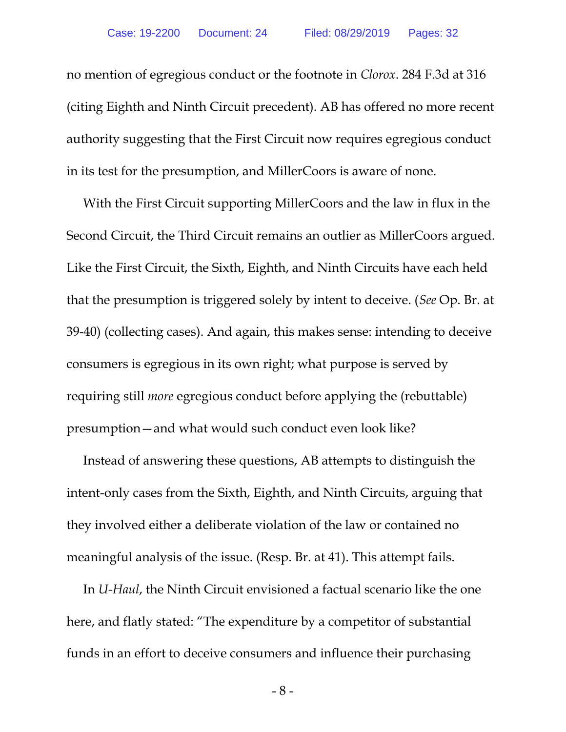no mention of egregious conduct or the footnote in *Clorox*. 284 F.3d at 316 (citing Eighth and Ninth Circuit precedent). AB has offered no more recent authority suggesting that the First Circuit now requires egregious conduct in its test for the presumption, and MillerCoors is aware of none.

With the First Circuit supporting MillerCoors and the law in flux in the Second Circuit, the Third Circuit remains an outlier as MillerCoors argued. Like the First Circuit, the Sixth, Eighth, and Ninth Circuits have each held that the presumption is triggered solely by intent to deceive. (*See* Op. Br. at 39-40) (collecting cases). And again, this makes sense: intending to deceive consumers is egregious in its own right; what purpose is served by requiring still *more* egregious conduct before applying the (rebuttable) presumption—and what would such conduct even look like?

Instead of answering these questions, AB attempts to distinguish the intent-only cases from the Sixth, Eighth, and Ninth Circuits, arguing that they involved either a deliberate violation of the law or contained no meaningful analysis of the issue. (Resp. Br. at 41). This attempt fails.

In *U-Haul*, the Ninth Circuit envisioned a factual scenario like the one here, and flatly stated: "The expenditure by a competitor of substantial funds in an effort to deceive consumers and influence their purchasing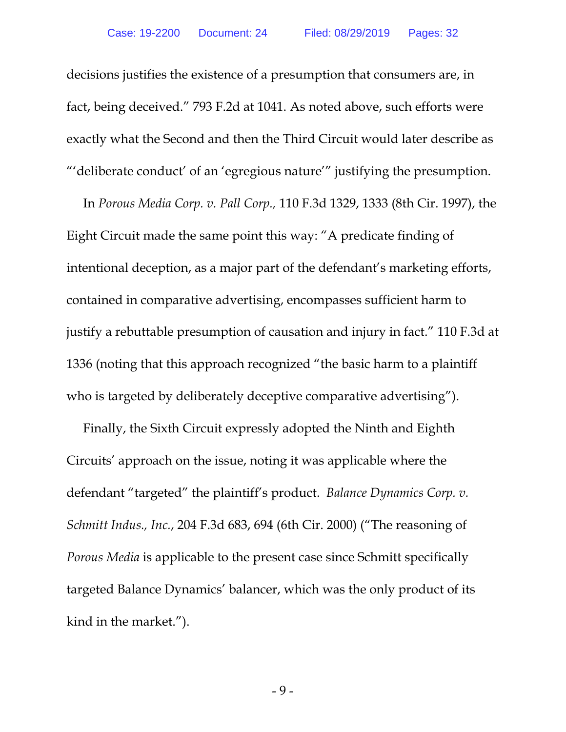decisions justifies the existence of a presumption that consumers are, in fact, being deceived." 793 F.2d at 1041. As noted above, such efforts were exactly what the Second and then the Third Circuit would later describe as "'deliberate conduct' of an 'egregious nature'" justifying the presumption.

In *Porous Media Corp. v. Pall Corp.,* 110 F.3d 1329, 1333 (8th Cir. 1997), the Eight Circuit made the same point this way: "A predicate finding of intentional deception, as a major part of the defendant's marketing efforts, contained in comparative advertising, encompasses sufficient harm to justify a rebuttable presumption of causation and injury in fact." 110 F.3d at 1336 (noting that this approach recognized "the basic harm to a plaintiff who is targeted by deliberately deceptive comparative advertising").

Finally, the Sixth Circuit expressly adopted the Ninth and Eighth Circuits' approach on the issue, noting it was applicable where the defendant "targeted" the plaintiff's product. *Balance Dynamics Corp. v. Schmitt Indus., Inc.*, 204 F.3d 683, 694 (6th Cir. 2000) ("The reasoning of *Porous Media* is applicable to the present case since Schmitt specifically targeted Balance Dynamics' balancer, which was the only product of its kind in the market.").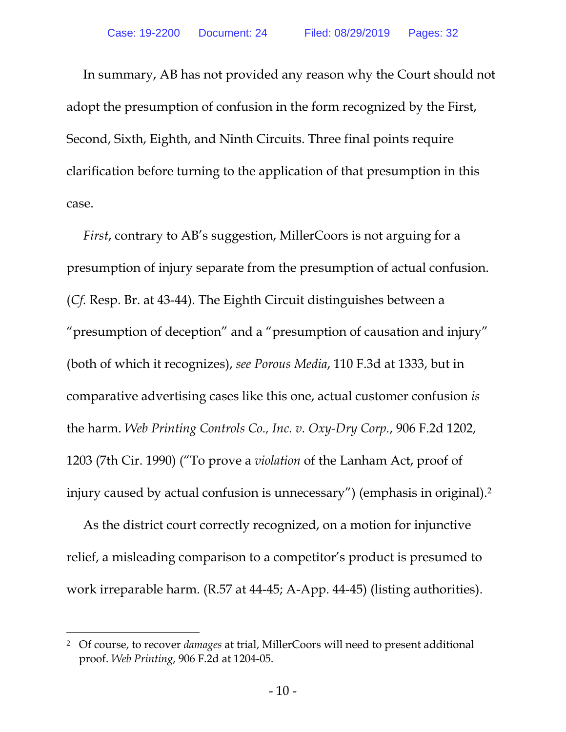In summary, AB has not provided any reason why the Court should not adopt the presumption of confusion in the form recognized by the First, Second, Sixth, Eighth, and Ninth Circuits. Three final points require clarification before turning to the application of that presumption in this case.

*First*, contrary to AB's suggestion, MillerCoors is not arguing for a presumption of injury separate from the presumption of actual confusion. (*Cf.* Resp. Br. at 43-44). The Eighth Circuit distinguishes between a "presumption of deception" and a "presumption of causation and injury" (both of which it recognizes), *see Porous Media*, 110 F.3d at 1333, but in comparative advertising cases like this one, actual customer confusion *is* the harm. *Web Printing Controls Co., Inc. v. Oxy-Dry Corp.*, 906 F.2d 1202, 1203 (7th Cir. 1990) ("To prove a *violation* of the Lanham Act, proof of injury caused by actual confusion is unnecessary") (emphasis in original).2

As the district court correctly recognized, on a motion for injunctive relief, a misleading comparison to a competitor's product is presumed to work irreparable harm. (R.57 at 44-45; A-App. 44-45) (listing authorities).

 $\overline{a}$ 

<sup>2</sup> Of course, to recover *damages* at trial, MillerCoors will need to present additional proof. *Web Printing*, 906 F.2d at 1204-05.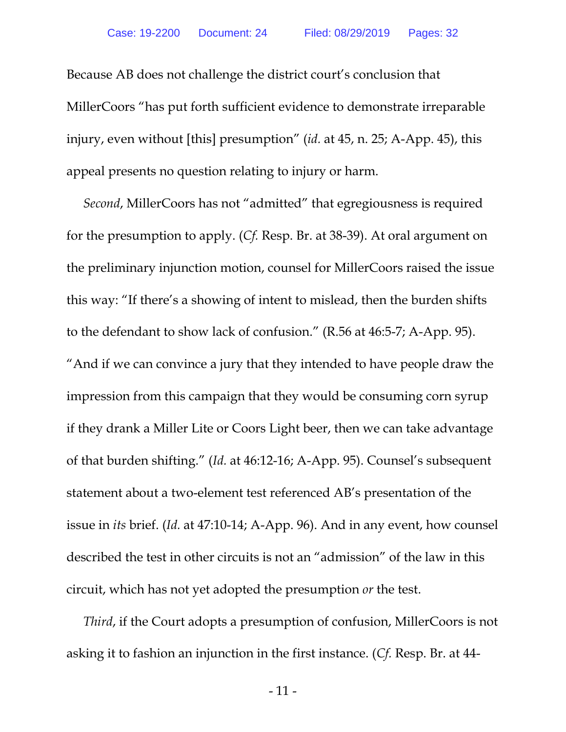Because AB does not challenge the district court's conclusion that MillerCoors "has put forth sufficient evidence to demonstrate irreparable injury, even without [this] presumption" (*id.* at 45, n. 25; A-App. 45), this appeal presents no question relating to injury or harm.

*Second*, MillerCoors has not "admitted" that egregiousness is required for the presumption to apply. (*Cf.* Resp. Br. at 38-39). At oral argument on the preliminary injunction motion, counsel for MillerCoors raised the issue this way: "If there's a showing of intent to mislead, then the burden shifts to the defendant to show lack of confusion." (R.56 at 46:5-7; A-App. 95). "And if we can convince a jury that they intended to have people draw the impression from this campaign that they would be consuming corn syrup if they drank a Miller Lite or Coors Light beer, then we can take advantage of that burden shifting." (*Id.* at 46:12-16; A-App. 95). Counsel's subsequent statement about a two-element test referenced AB's presentation of the issue in *its* brief. (*Id.* at 47:10-14; A-App. 96). And in any event, how counsel described the test in other circuits is not an "admission" of the law in this circuit, which has not yet adopted the presumption *or* the test.

*Third*, if the Court adopts a presumption of confusion, MillerCoors is not asking it to fashion an injunction in the first instance. (*Cf.* Resp. Br. at 44-

- 11 -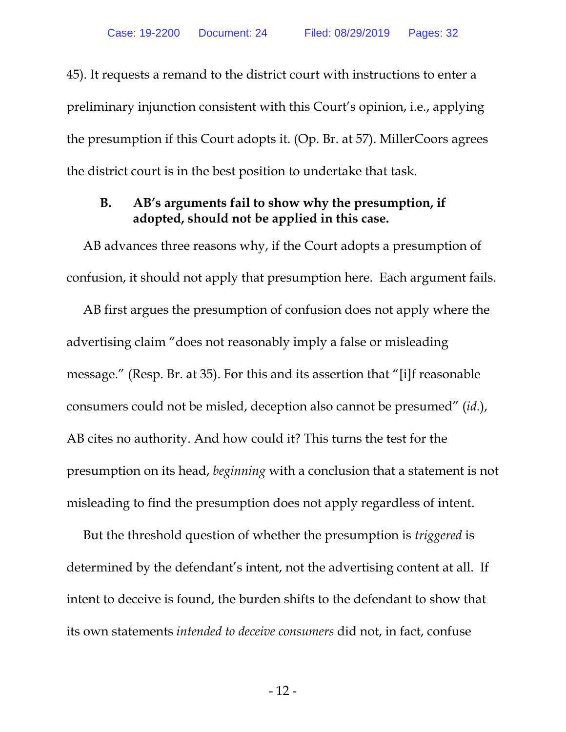45). It requests a remand to the district court with instructions to enter a preliminary injunction consistent with this Court's opinion, i.e., applying the presumption if this Court adopts it. (Op. Br. at 57). MillerCoors agrees the district court is in the best position to undertake that task.

### **B. AB's arguments fail to show why the presumption, if adopted, should not be applied in this case.**

AB advances three reasons why, if the Court adopts a presumption of confusion, it should not apply that presumption here. Each argument fails.

AB first argues the presumption of confusion does not apply where the advertising claim "does not reasonably imply a false or misleading message." (Resp. Br. at 35). For this and its assertion that "[i]f reasonable consumers could not be misled, deception also cannot be presumed" (*id.*), AB cites no authority. And how could it? This turns the test for the presumption on its head, *beginning* with a conclusion that a statement is not misleading to find the presumption does not apply regardless of intent.

But the threshold question of whether the presumption is *triggered* is determined by the defendant's intent, not the advertising content at all. If intent to deceive is found, the burden shifts to the defendant to show that its own statements *intended to deceive consumers* did not, in fact, confuse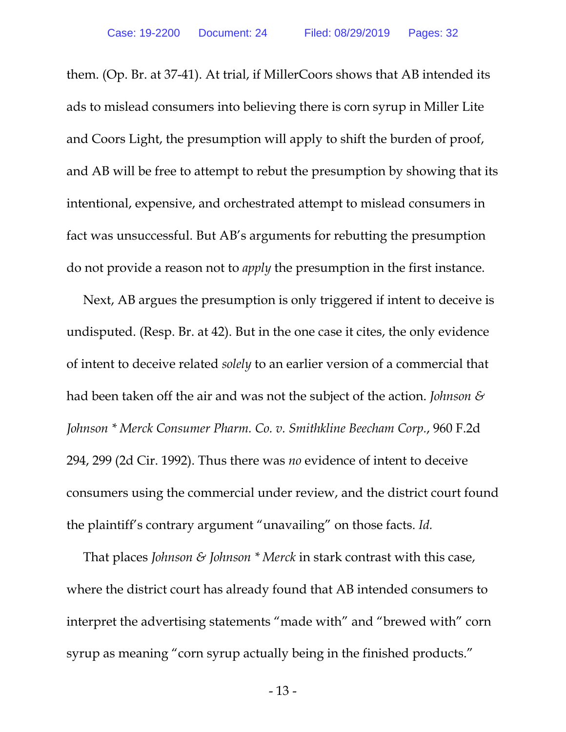them. (Op. Br. at 37-41). At trial, if MillerCoors shows that AB intended its ads to mislead consumers into believing there is corn syrup in Miller Lite and Coors Light, the presumption will apply to shift the burden of proof, and AB will be free to attempt to rebut the presumption by showing that its intentional, expensive, and orchestrated attempt to mislead consumers in fact was unsuccessful. But AB's arguments for rebutting the presumption do not provide a reason not to *apply* the presumption in the first instance.

Next, AB argues the presumption is only triggered if intent to deceive is undisputed. (Resp. Br. at 42). But in the one case it cites, the only evidence of intent to deceive related *solely* to an earlier version of a commercial that had been taken off the air and was not the subject of the action. *Johnson & Johnson \* Merck Consumer Pharm. Co. v. Smithkline Beecham Corp.*, 960 F.2d 294, 299 (2d Cir. 1992). Thus there was *no* evidence of intent to deceive consumers using the commercial under review, and the district court found the plaintiff's contrary argument "unavailing" on those facts. *Id.*

That places *Johnson & Johnson \* Merck* in stark contrast with this case, where the district court has already found that AB intended consumers to interpret the advertising statements "made with" and "brewed with" corn syrup as meaning "corn syrup actually being in the finished products."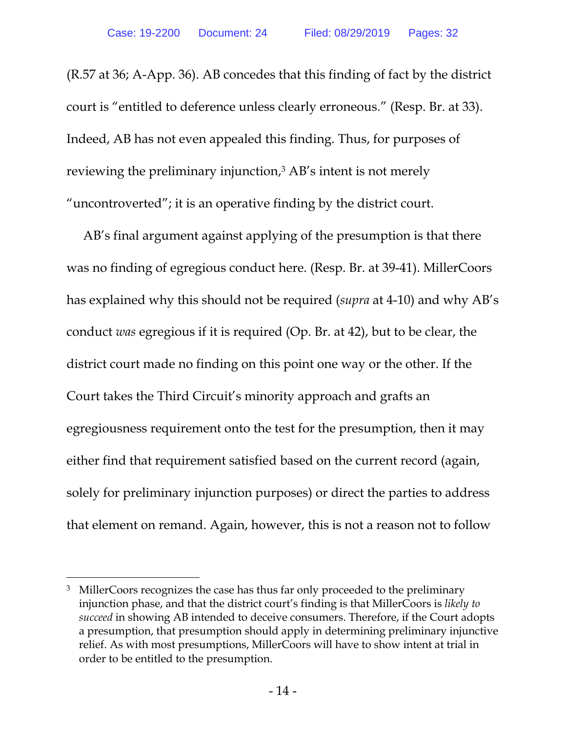(R.57 at 36; A-App. 36). AB concedes that this finding of fact by the district court is "entitled to deference unless clearly erroneous." (Resp. Br. at 33). Indeed, AB has not even appealed this finding. Thus, for purposes of reviewing the preliminary injunction,<sup>3</sup> AB's intent is not merely "uncontroverted"; it is an operative finding by the district court.

AB's final argument against applying of the presumption is that there was no finding of egregious conduct here. (Resp. Br. at 39-41). MillerCoors has explained why this should not be required (*supra* at 4-10) and why AB's conduct *was* egregious if it is required (Op. Br. at 42), but to be clear, the district court made no finding on this point one way or the other. If the Court takes the Third Circuit's minority approach and grafts an egregiousness requirement onto the test for the presumption, then it may either find that requirement satisfied based on the current record (again, solely for preliminary injunction purposes) or direct the parties to address that element on remand. Again, however, this is not a reason not to follow

 $\overline{a}$ 

<sup>&</sup>lt;sup>3</sup> MillerCoors recognizes the case has thus far only proceeded to the preliminary injunction phase, and that the district court's finding is that MillerCoors is *likely to succeed* in showing AB intended to deceive consumers. Therefore, if the Court adopts a presumption, that presumption should apply in determining preliminary injunctive relief. As with most presumptions, MillerCoors will have to show intent at trial in order to be entitled to the presumption.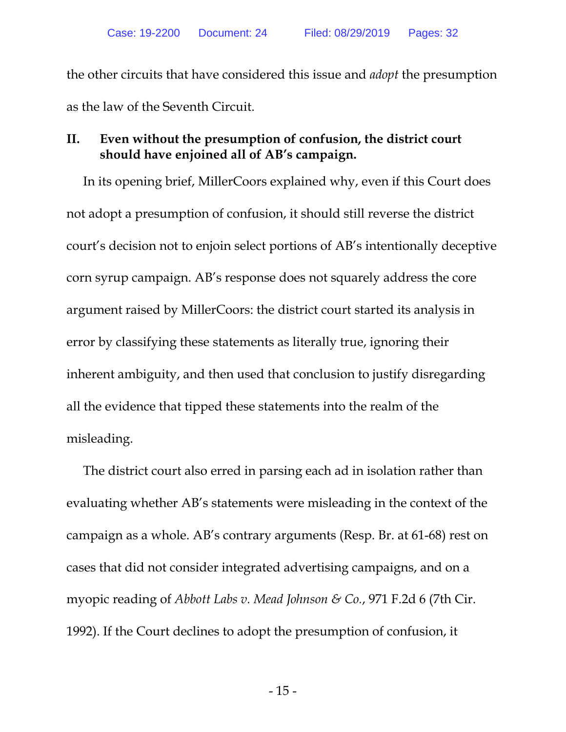the other circuits that have considered this issue and *adopt* the presumption as the law of the Seventh Circuit.

### **II. Even without the presumption of confusion, the district court should have enjoined all of AB's campaign.**

In its opening brief, MillerCoors explained why, even if this Court does not adopt a presumption of confusion, it should still reverse the district court's decision not to enjoin select portions of AB's intentionally deceptive corn syrup campaign. AB's response does not squarely address the core argument raised by MillerCoors: the district court started its analysis in error by classifying these statements as literally true, ignoring their inherent ambiguity, and then used that conclusion to justify disregarding all the evidence that tipped these statements into the realm of the misleading.

The district court also erred in parsing each ad in isolation rather than evaluating whether AB's statements were misleading in the context of the campaign as a whole. AB's contrary arguments (Resp. Br. at 61-68) rest on cases that did not consider integrated advertising campaigns, and on a myopic reading of *Abbott Labs v. Mead Johnson & Co.*, 971 F.2d 6 (7th Cir. 1992). If the Court declines to adopt the presumption of confusion, it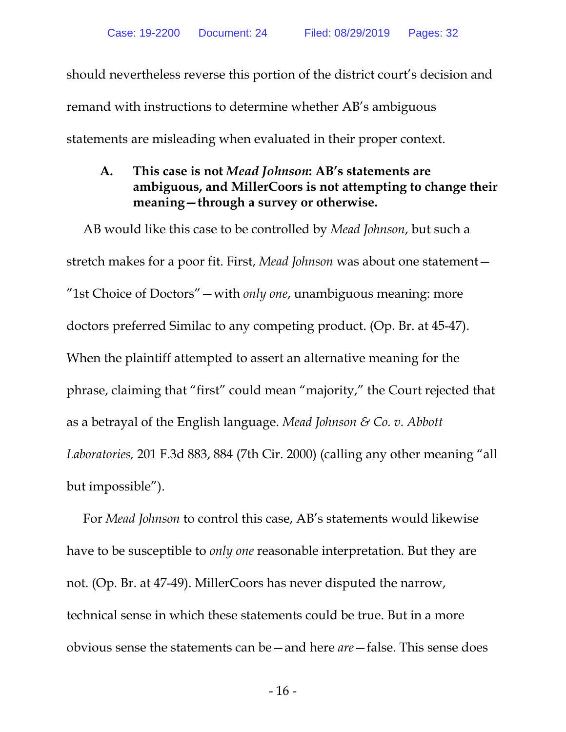should nevertheless reverse this portion of the district court's decision and remand with instructions to determine whether AB's ambiguous statements are misleading when evaluated in their proper context.

## **A. This case is not** *Mead Johnson***: AB's statements are ambiguous, and MillerCoors is not attempting to change their meaning—through a survey or otherwise.**

AB would like this case to be controlled by *Mead Johnson*, but such a stretch makes for a poor fit. First, *Mead Johnson* was about one statement— "1st Choice of Doctors"—with *only one*, unambiguous meaning: more doctors preferred Similac to any competing product. (Op. Br. at 45-47). When the plaintiff attempted to assert an alternative meaning for the phrase, claiming that "first" could mean "majority," the Court rejected that as a betrayal of the English language. *Mead Johnson & Co. v. Abbott Laboratories,* 201 F.3d 883, 884 (7th Cir. 2000) (calling any other meaning "all but impossible").

For *Mead Johnson* to control this case, AB's statements would likewise have to be susceptible to *only one* reasonable interpretation. But they are not. (Op. Br. at 47-49). MillerCoors has never disputed the narrow, technical sense in which these statements could be true. But in a more obvious sense the statements can be—and here *are*—false. This sense does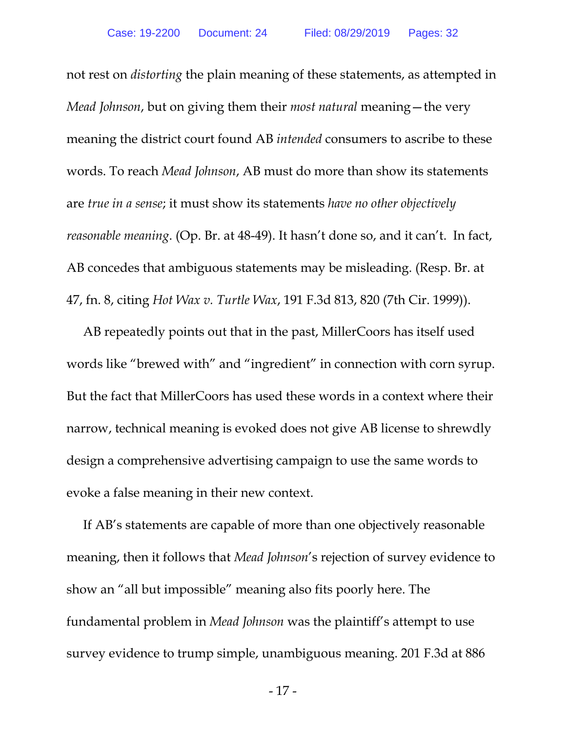not rest on *distorting* the plain meaning of these statements, as attempted in *Mead Johnson*, but on giving them their *most natural* meaning—the very meaning the district court found AB *intended* consumers to ascribe to these words. To reach *Mead Johnson*, AB must do more than show its statements are *true in a sense*; it must show its statements *have no other objectively reasonable meaning*. (Op. Br. at 48-49). It hasn't done so, and it can't. In fact, AB concedes that ambiguous statements may be misleading. (Resp. Br. at 47, fn. 8, citing *Hot Wax v. Turtle Wax*, 191 F.3d 813, 820 (7th Cir. 1999)).

AB repeatedly points out that in the past, MillerCoors has itself used words like "brewed with" and "ingredient" in connection with corn syrup. But the fact that MillerCoors has used these words in a context where their narrow, technical meaning is evoked does not give AB license to shrewdly design a comprehensive advertising campaign to use the same words to evoke a false meaning in their new context.

If AB's statements are capable of more than one objectively reasonable meaning, then it follows that *Mead Johnson*'s rejection of survey evidence to show an "all but impossible" meaning also fits poorly here. The fundamental problem in *Mead Johnson* was the plaintiff's attempt to use survey evidence to trump simple, unambiguous meaning. 201 F.3d at 886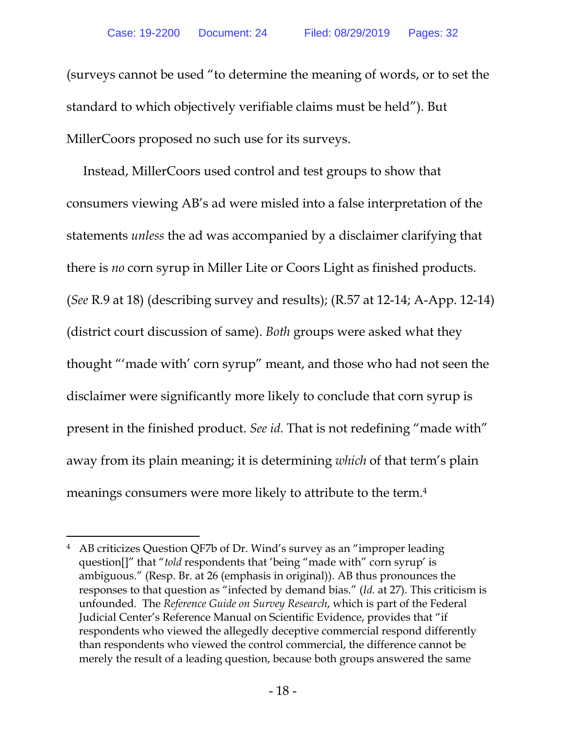(surveys cannot be used "to determine the meaning of words, or to set the standard to which objectively verifiable claims must be held"). But MillerCoors proposed no such use for its surveys.

Instead, MillerCoors used control and test groups to show that consumers viewing AB's ad were misled into a false interpretation of the statements *unless* the ad was accompanied by a disclaimer clarifying that there is *no* corn syrup in Miller Lite or Coors Light as finished products. (*See* R.9 at 18) (describing survey and results); (R.57 at 12-14; A-App. 12-14) (district court discussion of same). *Both* groups were asked what they thought "'made with' corn syrup" meant, and those who had not seen the disclaimer were significantly more likely to conclude that corn syrup is present in the finished product. *See id.* That is not redefining "made with" away from its plain meaning; it is determining *which* of that term's plain meanings consumers were more likely to attribute to the term.4

 $\overline{a}$ 

<sup>4</sup> AB criticizes Question QF7b of Dr. Wind's survey as an "improper leading question[]" that "*told* respondents that 'being "made with" corn syrup' is ambiguous." (Resp. Br. at 26 (emphasis in original)). AB thus pronounces the responses to that question as "infected by demand bias." (*Id.* at 27). This criticism is unfounded. The *Reference Guide on Survey Research*, which is part of the Federal Judicial Center's Reference Manual on Scientific Evidence, provides that "if respondents who viewed the allegedly deceptive commercial respond differently than respondents who viewed the control commercial, the difference cannot be merely the result of a leading question, because both groups answered the same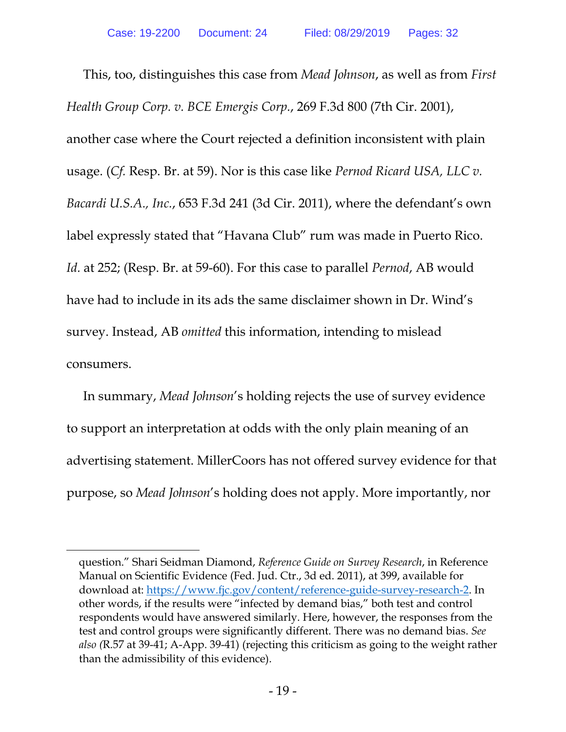This, too, distinguishes this case from *Mead Johnson*, as well as from *First Health Group Corp. v. BCE Emergis Corp.*, 269 F.3d 800 (7th Cir. 2001), another case where the Court rejected a definition inconsistent with plain usage. (*Cf.* Resp. Br. at 59). Nor is this case like *Pernod Ricard USA, LLC v. Bacardi U.S.A., Inc.*, 653 F.3d 241 (3d Cir. 2011), where the defendant's own label expressly stated that "Havana Club" rum was made in Puerto Rico. *Id.* at 252; (Resp. Br. at 59-60). For this case to parallel *Pernod*, AB would have had to include in its ads the same disclaimer shown in Dr. Wind's survey. Instead, AB *omitted* this information, intending to mislead consumers.

In summary, *Mead Johnson*'s holding rejects the use of survey evidence to support an interpretation at odds with the only plain meaning of an advertising statement. MillerCoors has not offered survey evidence for that purpose, so *Mead Johnson*'s holding does not apply. More importantly, nor

 $\overline{a}$ 

question." Shari Seidman Diamond, *Reference Guide on Survey Research*, in Reference Manual on Scientific Evidence (Fed. Jud. Ctr., 3d ed. 2011), at 399, available for download at: https://www.fjc.gov/content/reference-guide-survey-research-2. In other words, if the results were "infected by demand bias," both test and control respondents would have answered similarly. Here, however, the responses from the test and control groups were significantly different. There was no demand bias. *See also (*R.57 at 39-41; A-App. 39-41) (rejecting this criticism as going to the weight rather than the admissibility of this evidence).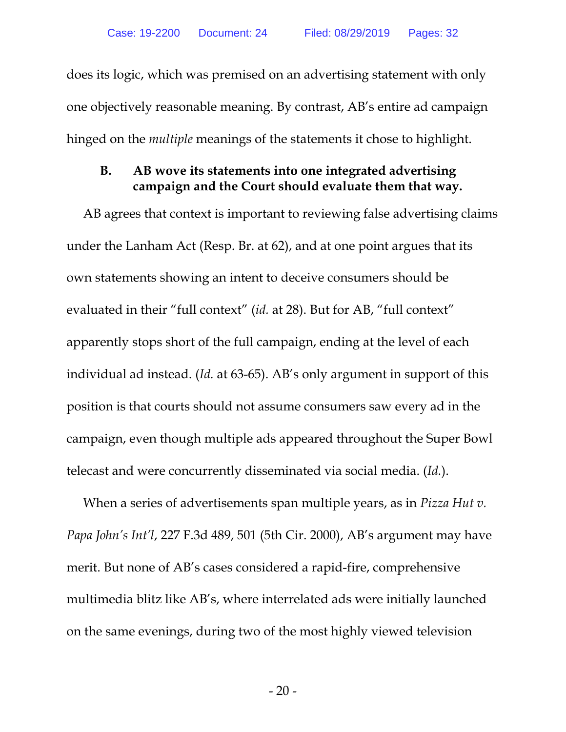does its logic, which was premised on an advertising statement with only one objectively reasonable meaning. By contrast, AB's entire ad campaign hinged on the *multiple* meanings of the statements it chose to highlight.

### **B. AB wove its statements into one integrated advertising campaign and the Court should evaluate them that way.**

AB agrees that context is important to reviewing false advertising claims under the Lanham Act (Resp. Br. at 62), and at one point argues that its own statements showing an intent to deceive consumers should be evaluated in their "full context" (*id.* at 28). But for AB, "full context" apparently stops short of the full campaign, ending at the level of each individual ad instead. (*Id.* at 63-65). AB's only argument in support of this position is that courts should not assume consumers saw every ad in the campaign, even though multiple ads appeared throughout the Super Bowl telecast and were concurrently disseminated via social media. (*Id.*).

When a series of advertisements span multiple years, as in *Pizza Hut v. Papa John's Int'l*, 227 F.3d 489, 501 (5th Cir. 2000), AB's argument may have merit. But none of AB's cases considered a rapid-fire, comprehensive multimedia blitz like AB's, where interrelated ads were initially launched on the same evenings, during two of the most highly viewed television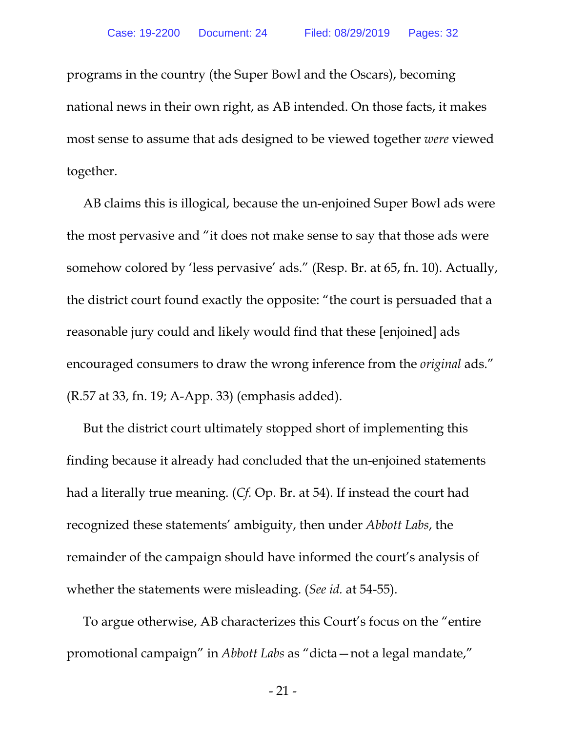programs in the country (the Super Bowl and the Oscars), becoming national news in their own right, as AB intended. On those facts, it makes most sense to assume that ads designed to be viewed together *were* viewed together.

AB claims this is illogical, because the un-enjoined Super Bowl ads were the most pervasive and "it does not make sense to say that those ads were somehow colored by 'less pervasive' ads." (Resp. Br. at 65, fn. 10). Actually, the district court found exactly the opposite: "the court is persuaded that a reasonable jury could and likely would find that these [enjoined] ads encouraged consumers to draw the wrong inference from the *original* ads." (R.57 at 33, fn. 19; A-App. 33) (emphasis added).

But the district court ultimately stopped short of implementing this finding because it already had concluded that the un-enjoined statements had a literally true meaning. (*Cf.* Op. Br. at 54). If instead the court had recognized these statements' ambiguity, then under *Abbott Labs*, the remainder of the campaign should have informed the court's analysis of whether the statements were misleading. (*See id.* at 54-55).

To argue otherwise, AB characterizes this Court's focus on the "entire promotional campaign" in *Abbott Labs* as "dicta—not a legal mandate,"

- 21 -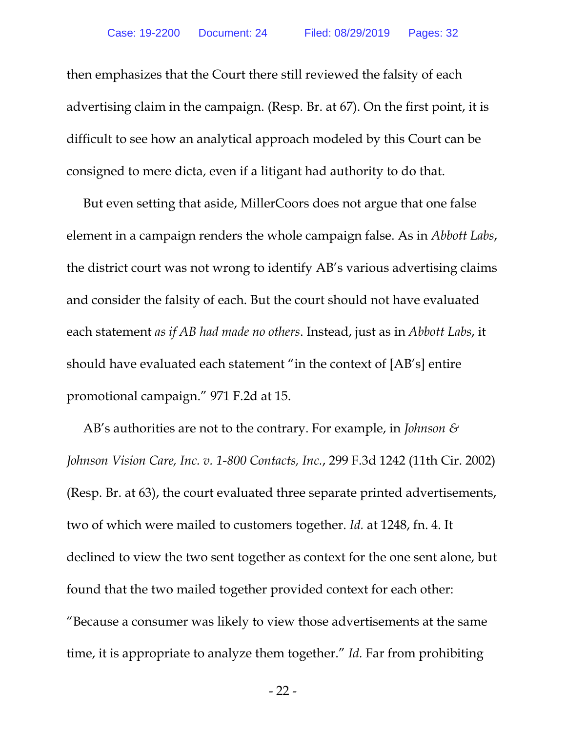then emphasizes that the Court there still reviewed the falsity of each advertising claim in the campaign. (Resp. Br. at 67). On the first point, it is difficult to see how an analytical approach modeled by this Court can be consigned to mere dicta, even if a litigant had authority to do that.

But even setting that aside, MillerCoors does not argue that one false element in a campaign renders the whole campaign false. As in *Abbott Labs*, the district court was not wrong to identify AB's various advertising claims and consider the falsity of each. But the court should not have evaluated each statement *as if AB had made no others*. Instead, just as in *Abbott Labs*, it should have evaluated each statement "in the context of [AB's] entire promotional campaign." 971 F.2d at 15.

AB's authorities are not to the contrary. For example, in *Johnson & Johnson Vision Care, Inc. v. 1-800 Contacts, Inc.*, 299 F.3d 1242 (11th Cir. 2002) (Resp. Br. at 63), the court evaluated three separate printed advertisements, two of which were mailed to customers together. *Id.* at 1248, fn. 4. It declined to view the two sent together as context for the one sent alone, but found that the two mailed together provided context for each other: "Because a consumer was likely to view those advertisements at the same time, it is appropriate to analyze them together." *Id.* Far from prohibiting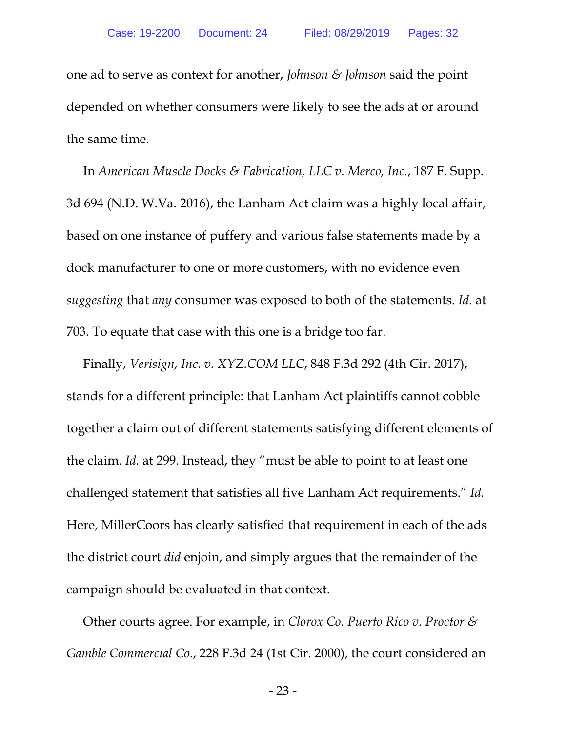one ad to serve as context for another, *Johnson & Johnson* said the point depended on whether consumers were likely to see the ads at or around the same time.

In *American Muscle Docks & Fabrication, LLC v. Merco, Inc.*, 187 F. Supp. 3d 694 (N.D. W.Va. 2016), the Lanham Act claim was a highly local affair, based on one instance of puffery and various false statements made by a dock manufacturer to one or more customers, with no evidence even *suggesting* that *any* consumer was exposed to both of the statements. *Id.* at 703. To equate that case with this one is a bridge too far.

Finally, *Verisign, Inc. v. XYZ.COM LLC*, 848 F.3d 292 (4th Cir. 2017), stands for a different principle: that Lanham Act plaintiffs cannot cobble together a claim out of different statements satisfying different elements of the claim. *Id.* at 299. Instead, they "must be able to point to at least one challenged statement that satisfies all five Lanham Act requirements." *Id.* Here, MillerCoors has clearly satisfied that requirement in each of the ads the district court *did* enjoin, and simply argues that the remainder of the campaign should be evaluated in that context.

Other courts agree. For example, in *Clorox Co. Puerto Rico v. Proctor & Gamble Commercial Co.*, 228 F.3d 24 (1st Cir. 2000), the court considered an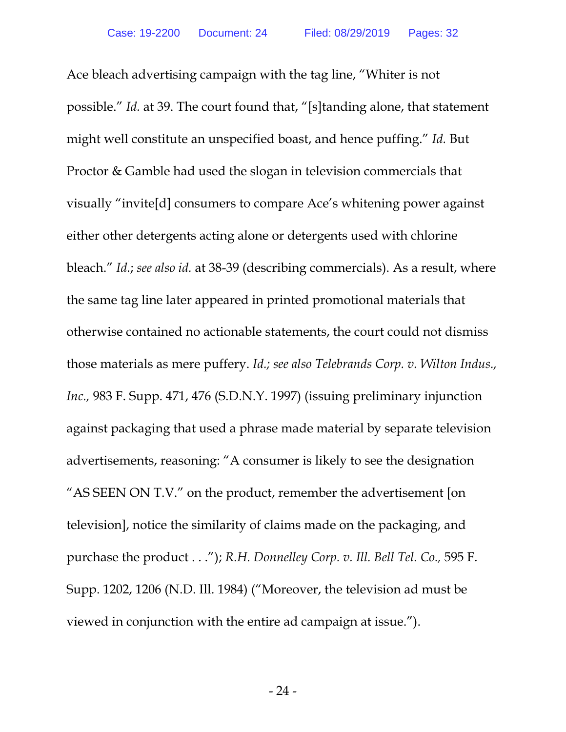Ace bleach advertising campaign with the tag line, "Whiter is not possible." *Id.* at 39. The court found that, "[s]tanding alone, that statement might well constitute an unspecified boast, and hence puffing." *Id.* But Proctor & Gamble had used the slogan in television commercials that visually "invite[d] consumers to compare Ace's whitening power against either other detergents acting alone or detergents used with chlorine bleach." *Id.*; *see also id.* at 38-39 (describing commercials). As a result, where the same tag line later appeared in printed promotional materials that otherwise contained no actionable statements, the court could not dismiss those materials as mere puffery. *Id.; see also Telebrands Corp. v. Wilton Indus., Inc.,* 983 F. Supp. 471, 476 (S.D.N.Y. 1997) (issuing preliminary injunction against packaging that used a phrase made material by separate television advertisements, reasoning: "A consumer is likely to see the designation "AS SEEN ON T.V." on the product, remember the advertisement [on television], notice the similarity of claims made on the packaging, and purchase the product . . ."); *R.H. Donnelley Corp. v. Ill. Bell Tel. Co.,* 595 F. Supp. 1202, 1206 (N.D. Ill. 1984) ("Moreover, the television ad must be viewed in conjunction with the entire ad campaign at issue.").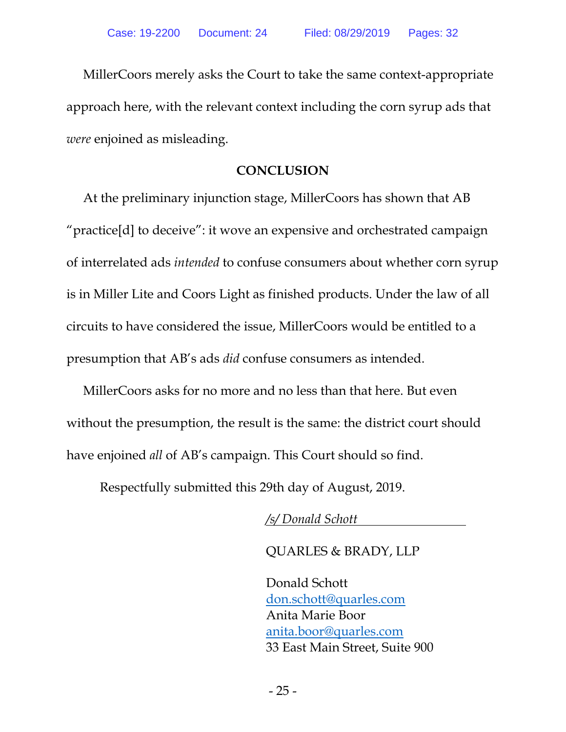MillerCoors merely asks the Court to take the same context-appropriate approach here, with the relevant context including the corn syrup ads that *were* enjoined as misleading.

### **CONCLUSION**

At the preliminary injunction stage, MillerCoors has shown that AB "practice[d] to deceive": it wove an expensive and orchestrated campaign of interrelated ads *intended* to confuse consumers about whether corn syrup is in Miller Lite and Coors Light as finished products. Under the law of all circuits to have considered the issue, MillerCoors would be entitled to a presumption that AB's ads *did* confuse consumers as intended.

MillerCoors asks for no more and no less than that here. But even without the presumption, the result is the same: the district court should have enjoined *all* of AB's campaign. This Court should so find.

Respectfully submitted this 29th day of August, 2019.

*/s/ Donald Schott* 

QUARLES & BRADY, LLP

Donald Schott don.schott@quarles.com Anita Marie Boor anita.boor@quarles.com 33 East Main Street, Suite 900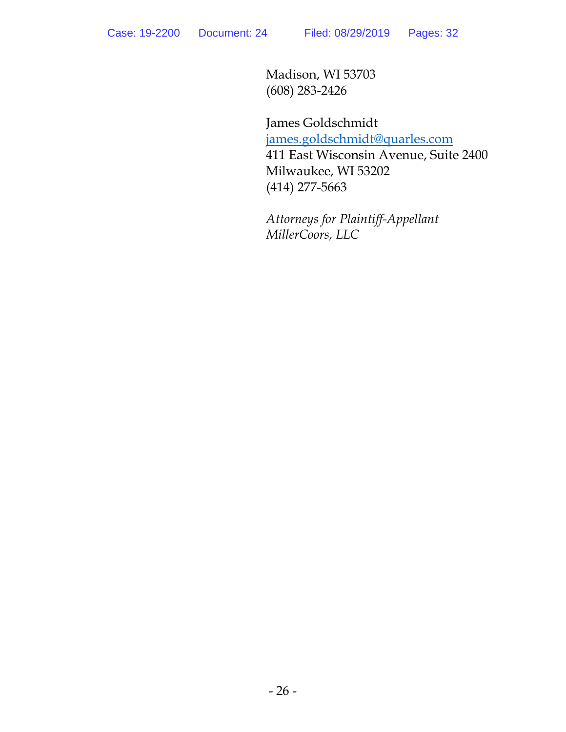Madison, WI 53703 (608) 283-2426

James Goldschmidt james.goldschmidt@quarles.com 411 East Wisconsin Avenue, Suite 2400 Milwaukee, WI 53202 (414) 277-5663

*Attorneys for Plaintiff-Appellant MillerCoors, LLC*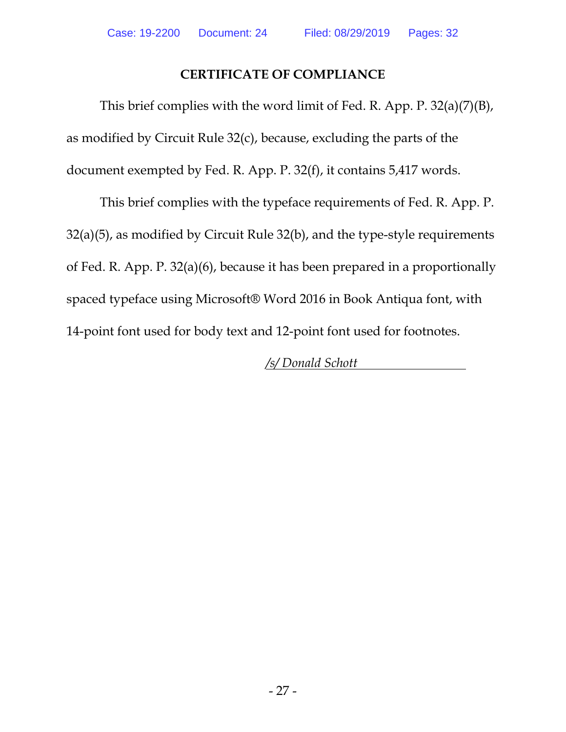## **CERTIFICATE OF COMPLIANCE**

This brief complies with the word limit of Fed. R. App. P. 32(a)(7)(B), as modified by Circuit Rule 32(c), because, excluding the parts of the document exempted by Fed. R. App. P. 32(f), it contains 5,417 words.

This brief complies with the typeface requirements of Fed. R. App. P. 32(a)(5), as modified by Circuit Rule 32(b), and the type-style requirements of Fed. R. App. P. 32(a)(6), because it has been prepared in a proportionally spaced typeface using Microsoft® Word 2016 in Book Antiqua font, with 14-point font used for body text and 12-point font used for footnotes.

*/s/ Donald Schott*